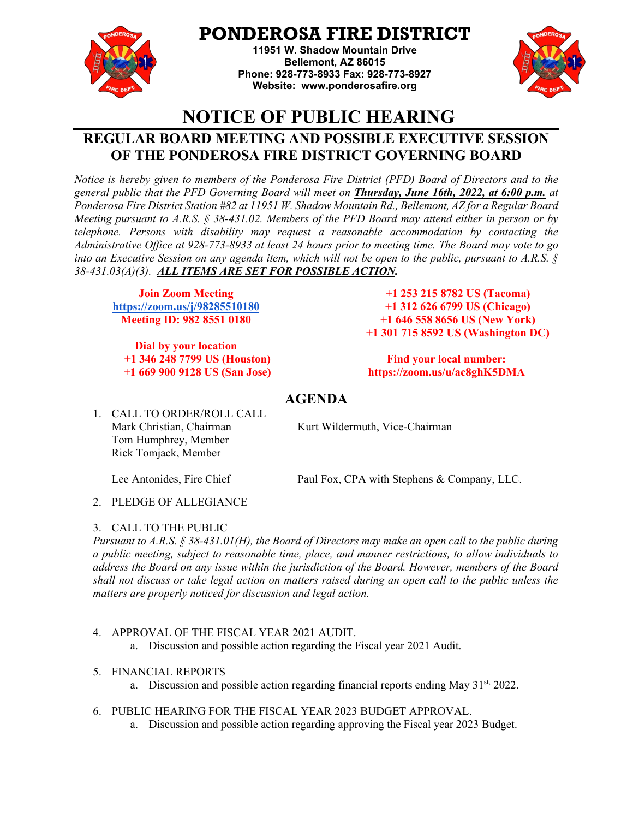

# **PONDEROSA FIRE DISTRICT**

**11951 W. Shadow Mountain Drive Bellemont, AZ 86015 Phone: 928-773-8933 Fax: 928-773-8927 Website: [www.ponderosafire.org](http://www.ponderosafire.org/)**



# **NOTICE OF PUBLIC HEARING**

## **REGULAR BOARD MEETING AND POSSIBLE EXECUTIVE SESSION OF THE PONDEROSA FIRE DISTRICT GOVERNING BOARD**

*Notice is hereby given to members of the Ponderosa Fire District (PFD) Board of Directors and to the general public that the PFD Governing Board will meet on Thursday, June 16th, 2022, at 6:00 p.m. at Ponderosa Fire District Station #82 at 11951 W. Shadow Mountain Rd., Bellemont, AZ for a Regular Board Meeting pursuant to A.R.S. § 38-431.02. Members of the PFD Board may attend either in person or by telephone. Persons with disability may request a reasonable accommodation by contacting the Administrative Office at 928-773-8933 at least 24 hours prior to meeting time. The Board may vote to go into an Executive Session on any agenda item, which will not be open to the public, pursuant to A.R.S. § 38-431.03(A)(3). ALL ITEMS ARE SET FOR POSSIBLE ACTION.*

**Join Zoom Meeting <https://zoom.us/j/98285510180> Meeting ID: 982 8551 0180** 

**Dial by your location +1 346 248 7799 US (Houston) +1 669 900 9128 US (San Jose)**

**+1 253 215 8782 US (Tacoma) +1 312 626 6799 US (Chicago) +1 646 558 8656 US (New York) +1 301 715 8592 US (Washington DC)**

### **Find your local number: https://zoom.us/u/ac8ghK5DMA**

## **AGENDA**

1. CALL TO ORDER/ROLL CALL Mark Christian, Chairman Kurt Wildermuth, Vice-Chairman Tom Humphrey, Member Rick Tomjack, Member

Lee Antonides, Fire Chief Paul Fox, CPA with Stephens & Company, LLC.

2. PLEDGE OF ALLEGIANCE

## 3. CALL TO THE PUBLIC

*Pursuant to A.R.S. § 38-431.01(H), the Board of Directors may make an open call to the public during a public meeting, subject to reasonable time, place, and manner restrictions, to allow individuals to address the Board on any issue within the jurisdiction of the Board. However, members of the Board shall not discuss or take legal action on matters raised during an open call to the public unless the matters are properly noticed for discussion and legal action.*

4. APPROVAL OF THE FISCAL YEAR 2021 AUDIT.

a. Discussion and possible action regarding the Fiscal year 2021 Audit.

## 5. FINANCIAL REPORTS

- a. Discussion and possible action regarding financial reports ending May  $31^{st}$  2022.
- 6. PUBLIC HEARING FOR THE FISCAL YEAR 2023 BUDGET APPROVAL.
	- a. Discussion and possible action regarding approving the Fiscal year 2023 Budget.